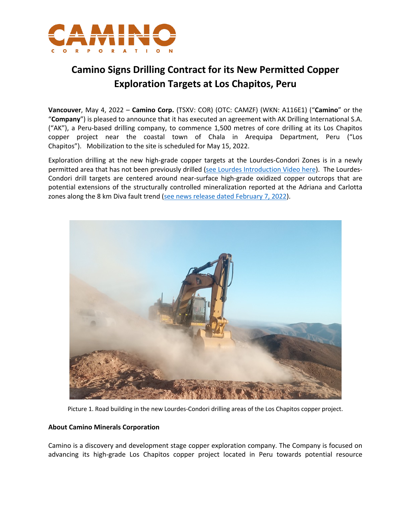

## **Camino Signs Drilling Contract for its New Permitted Copper Exploration Targets at Los Chapitos, Peru**

**Vancouver**, May 4, 2022 – **Camino Corp.** (TSXV: COR) (OTC: CAMZF) (WKN: A116E1) ("**Camino**" or the "**Company**") is pleased to announce that it has executed an agreement with AK Drilling International S.A. ("AK"), a Peru-based drilling company, to commence 1,500 metres of core drilling at its Los Chapitos copper project near the coastal town of Chala in Arequipa Department, Peru ("Los Chapitos"). Mobilization to the site is scheduled for May 15, 2022.

Exploration drilling at the new high-grade copper targets at the Lourdes-Condori Zones is in a newly permitted area that has not been previously drilled (see Lourdes Introduction Video here). The Lourdes-Condori drill targets are centered around near-surface high-grade oxidized copper outcrops that are potential extensions of the structurally controlled mineralization reported at the Adriana and Carlotta zones along the 8 km Diva fault trend (see news release dated February 7, 2022).



Picture 1. Road building in the new Lourdes-Condori drilling areas of the Los Chapitos copper project.

## **About Camino Minerals Corporation**

Camino is a discovery and development stage copper exploration company. The Company is focused on advancing its high-grade Los Chapitos copper project located in Peru towards potential resource